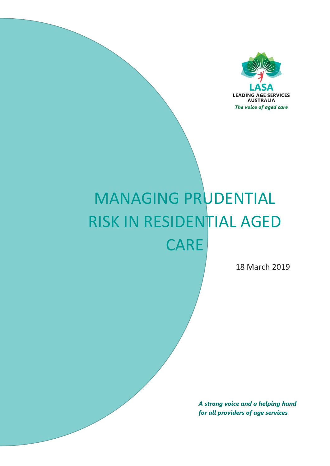

# MANAGING PRUDENTIAL RISK IN RESIDENTIAL AGED **CARE**

18 March 2019

*A strong voice and a helping hand for all providers of age services*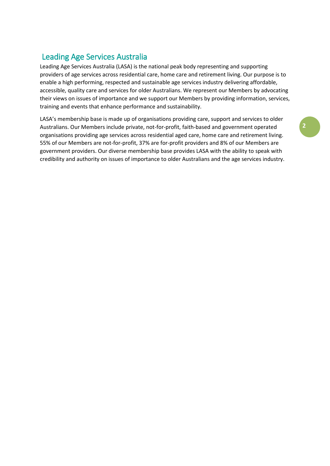# Leading Age Services Australia

Leading Age Services Australia (LASA) is the national peak body representing and supporting providers of age services across residential care, home care and retirement living. Our purpose is to enable a high performing, respected and sustainable age services industry delivering affordable, accessible, quality care and services for older Australians. We represent our Members by advocating their views on issues of importance and we support our Members by providing information, services, training and events that enhance performance and sustainability.

LASA's membership base is made up of organisations providing care, support and services to older Australians. Our Members include private, not-for-profit, faith-based and government operated organisations providing age services across residential aged care, home care and retirement living. 55% of our Members are not-for-profit, 37% are for-profit providers and 8% of our Members are government providers. Our diverse membership base provides LASA with the ability to speak with credibility and authority on issues of importance to older Australians and the age services industry.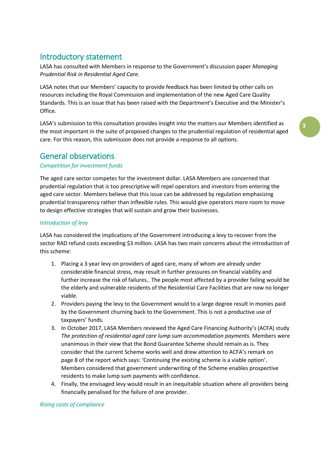# Introductory statement

LASA has consulted with Members in response to the Government's discussion paper *Managing Prudential Risk in Residential Aged Care.* 

LASA notes that our Members' capacity to provide feedback has been limited by other calls on resources including the Royal Commission and implementation of the new Aged Care Quality Standards. This is an issue that has been raised with the Department's Executive and the Minister's Office.

LASA's submission to this consultation provides insight into the matters our Members identified as the most important in the suite of proposed changes to the prudential regulation of residential aged care. For this reason, this submission does not provide a response to all options.

# General observations

## *Competition for investment funds*

The aged care sector competes for the investment dollar. LASA Members are concerned that prudential regulation that is too prescriptive will repel operators and investors from entering the aged care sector. Members believe that this issue can be addressed by regulation emphasizing prudential transparency rather than inflexible rules. This would give operators more room to move to design effective strategies that will sustain and grow their businesses.

#### *Introduction of levy*

LASA has considered the implications of the Government introducing a levy to recover from the sector RAD refund costs exceeding \$3 million. LASA has two main concerns about the introduction of this scheme:

- 1. Placing a 3 year levy on providers of aged care, many of whom are already under considerable financial stress, may result in further pressures on financial viability and further increase the risk of failures.. The people most affected by a provider failing would be the elderly and vulnerable residents of the Residential Care Facilities that are now no longer viable.
- 2. Providers paying the levy to the Government would to a large degree result in monies paid by the Government churning back to the Government. This is not a productive use of taxpayers' funds.
- 3. In October 2017, LASA Members reviewed the Aged Care Financing Authority's (ACFA) study *The protection of residential aged care lump sum accommodation payments.* Members were unanimous in their view that the Bond Guarantee Scheme should remain as is. They consider that the current Scheme works well and drew attention to ACFA's remark on page 8 of the report which says: 'Continuing the existing scheme is a viable option'. Members considered that government underwriting of the Scheme enables prospective residents to make lump sum payments with confidence.
- 4. Finally, the envisaged levy would result in an inequitable situation where all providers being financially penalised for the failure of one provider.

#### *Rising costs of compliance*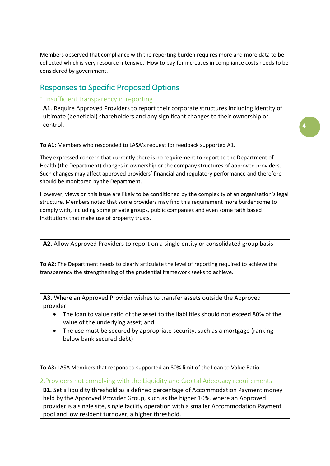Members observed that compliance with the reporting burden requires more and more data to be collected which is very resource intensive. How to pay for increases in compliance costs needs to be considered by government.

# Responses to Specific Proposed Options

# 1.Insufficient transparency in reporting

**A1**. Require Approved Providers to report their corporate structures including identity of ultimate (beneficial) shareholders and any significant changes to their ownership or control.

**To A1:** Members who responded to LASA's request for feedback supported A1.

They expressed concern that currently there is no requirement to report to the Department of Health (the Department) changes in ownership or the company structures of approved providers. Such changes may affect approved providers' financial and regulatory performance and therefore should be monitored by the Department.

However, views on this issue are likely to be conditioned by the complexity of an organisation's legal structure. Members noted that some providers may find this requirement more burdensome to comply with, including some private groups, public companies and even some faith based institutions that make use of property trusts.

## **A2.** Allow Approved Providers to report on a single entity or consolidated group basis

**To A2:** The Department needs to clearly articulate the level of reporting required to achieve the transparency the strengthening of the prudential framework seeks to achieve.

**A3.** Where an Approved Provider wishes to transfer assets outside the Approved provider:

- The loan to value ratio of the asset to the liabilities should not exceed 80% of the value of the underlying asset; and
- The use must be secured by appropriate security, such as a mortgage (ranking below bank secured debt)

**To A3:** LASA Members that responded supported an 80% limit of the Loan to Value Ratio.

2.Providers not complying with the Liquidity and Capital Adequacy requirements

**B1.** Set a liquidity threshold as a defined percentage of Accommodation Payment money held by the Approved Provider Group, such as the higher 10%, where an Approved provider is a single site, single facility operation with a smaller Accommodation Payment pool and low resident turnover, a higher threshold.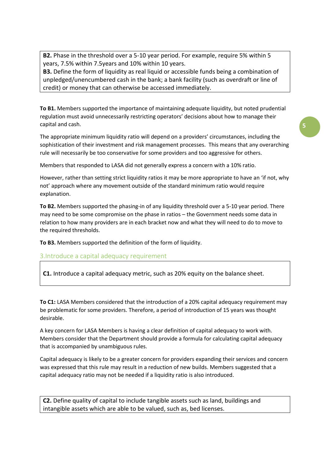**B2.** Phase in the threshold over a 5-10 year period. For example, require 5% within 5 years, 7.5% within 7.5years and 10% within 10 years.

**B3.** Define the form of liquidity as real liquid or accessible funds being a combination of unpledged/unencumbered cash in the bank; a bank facility (such as overdraft or line of credit) or money that can otherwise be accessed immediately.

**To B1.** Members supported the importance of maintaining adequate liquidity, but noted prudential regulation must avoid unnecessarily restricting operators' decisions about how to manage their capital and cash.

The appropriate minimum liquidity ratio will depend on a providers' circumstances, including the sophistication of their investment and risk management processes. This means that any overarching rule will necessarily be too conservative for some providers and too aggressive for others.

Members that responded to LASA did not generally express a concern with a 10% ratio.

However, rather than setting strict liquidity ratios it may be more appropriate to have an 'if not, why not' approach where any movement outside of the standard minimum ratio would require explanation.

**To B2.** Members supported the phasing-in of any liquidity threshold over a 5-10 year period. There may need to be some compromise on the phase in ratios – the Government needs some data in relation to how many providers are in each bracket now and what they will need to do to move to the required thresholds.

**To B3.** Members supported the definition of the form of liquidity.

3.Introduce a capital adequacy requirement

**C1.** Introduce a capital adequacy metric, such as 20% equity on the balance sheet.

**To C1:** LASA Members considered that the introduction of a 20% capital adequacy requirement may be problematic for some providers. Therefore, a period of introduction of 15 years was thought desirable.

A key concern for LASA Members is having a clear definition of capital adequacy to work with. Members consider that the Department should provide a formula for calculating capital adequacy that is accompanied by unambiguous rules.

Capital adequacy is likely to be a greater concern for providers expanding their services and concern was expressed that this rule may result in a reduction of new builds. Members suggested that a capital adequacy ratio may not be needed if a liquidity ratio is also introduced.

**C2.** Define quality of capital to include tangible assets such as land, buildings and intangible assets which are able to be valued, such as, bed licenses.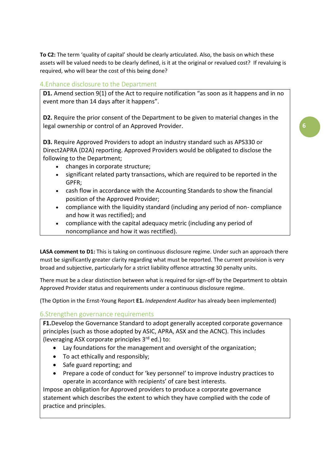**To C2:** The term 'quality of capital' should be clearly articulated. Also, the basis on which these assets will be valued needs to be clearly defined, is it at the original or revalued cost? If revaluing is required, who will bear the cost of this being done?

# 4.Enhance disclosure to the Department

**D1.** Amend section 9(1) of the Act to require notification "as soon as it happens and in no event more than 14 days after it happens".

**D2.** Require the prior consent of the Department to be given to material changes in the legal ownership or control of an Approved Provider.

**D3.** Require Approved Providers to adopt an industry standard such as APS330 or Direct2APRA (D2A) reporting. Approved Providers would be obligated to disclose the following to the Department;

- changes in corporate structure;
- significant related party transactions, which are required to be reported in the GPFR;
- cash flow in accordance with the Accounting Standards to show the financial position of the Approved Provider;
- compliance with the liquidity standard (including any period of non- compliance and how it was rectified); and
- compliance with the capital adequacy metric (including any period of noncompliance and how it was rectified).

LASA comment to D1: This is taking on continuous disclosure regime. Under such an approach there must be significantly greater clarity regarding what must be reported. The current provision is very broad and subjective, particularly for a strict liability offence attracting 30 penalty units.

There must be a clear distinction between what is required for sign-off by the Department to obtain Approved Provider status and requirements under a continuous disclosure regime.

(The Option in the Ernst-Young Report **E1.** *Independent Auditor* has already been implemented)

# 6.Strengthen governance requirements

**F1.**Develop the Governance Standard to adopt generally accepted corporate governance principles (such as those adopted by ASIC, APRA, ASX and the ACNC). This includes (leveraging ASX corporate principles  $3<sup>rd</sup>$  ed.) to:

- Lay foundations for the management and oversight of the organization;
- To act ethically and responsibly;
- Safe guard reporting; and
- Prepare a code of conduct for 'key personnel' to improve industry practices to operate in accordance with recipients' of care best interests.

Impose an obligation for Approved providers to produce a corporate governance statement which describes the extent to which they have complied with the code of practice and principles.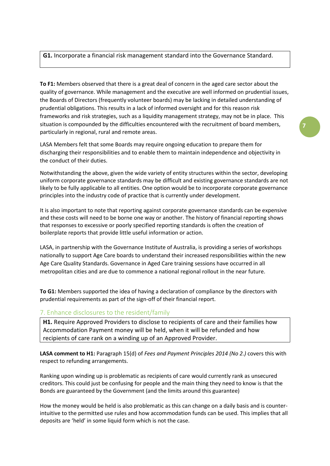### **G1.** Incorporate a financial risk management standard into the Governance Standard.

**To F1:** Members observed that there is a great deal of concern in the aged care sector about the quality of governance. While management and the executive are well informed on prudential issues, the Boards of Directors (frequently volunteer boards) may be lacking in detailed understanding of prudential obligations. This results in a lack of informed oversight and for this reason risk frameworks and risk strategies, such as a liquidity management strategy, may not be in place. This situation is compounded by the difficulties encountered with the recruitment of board members, particularly in regional, rural and remote areas.

LASA Members felt that some Boards may require ongoing education to prepare them for discharging their responsibilities and to enable them to maintain independence and objectivity in the conduct of their duties.

Notwithstanding the above, given the wide variety of entity structures within the sector, developing uniform corporate governance standards may be difficult and existing governance standards are not likely to be fully applicable to all entities. One option would be to incorporate corporate governance principles into the industry code of practice that is currently under development.

It is also important to note that reporting against corporate governance standards can be expensive and these costs will need to be borne one way or another. The history of financial reporting shows that responses to excessive or poorly specified reporting standards is often the creation of boilerplate reports that provide little useful information or action.

LASA, in partnership with the Governance Institute of Australia, is providing a series of workshops nationally to support Age Care boards to understand their increased responsibilities within the new Age Care Quality Standards. Governance in Aged Care training sessions have occurred in all metropolitan cities and are due to commence a national regional rollout in the near future.

**To G1:** Members supported the idea of having a declaration of compliance by the directors with prudential requirements as part of the sign-off of their financial report.

#### 7. Enhance disclosures to the resident/family

**H1.** Require Approved Providers to disclose to recipients of care and their families how Accommodation Payment money will be held, when it will be refunded and how recipients of care rank on a winding up of an Approved Provider.

**LASA comment to H1:** Paragraph 15(d) of *Fees and Payment Principles 2014 (No 2.)* covers this with respect to refunding arrangements.

Ranking upon winding up is problematic as recipients of care would currently rank as unsecured creditors. This could just be confusing for people and the main thing they need to know is that the Bonds are guaranteed by the Government (and the limits around this guarantee)

How the money would be held is also problematic as this can change on a daily basis and is counterintuitive to the permitted use rules and how accommodation funds can be used. This implies that all deposits are 'held' in some liquid form which is not the case.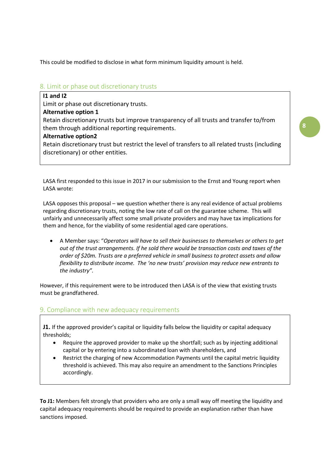This could be modified to disclose in what form minimum liquidity amount is held.

## 8. Limit or phase out discretionary trusts

## **I1 and I2**

Limit or phase out discretionary trusts.

## **Alternative option 1**

Retain discretionary trusts but improve transparency of all trusts and transfer to/from them through additional reporting requirements.

#### **Alternative option2**

Retain discretionary trust but restrict the level of transfers to all related trusts (including discretionary) or other entities.

LASA first responded to this issue in 2017 in our submission to the Ernst and Young report when LASA wrote:

LASA opposes this proposal – we question whether there is any real evidence of actual problems regarding discretionary trusts, noting the low rate of call on the guarantee scheme. This will unfairly and unnecessarily affect some small private providers and may have tax implications for them and hence, for the viability of some residential aged care operations.

 A Member says: "*Operators will have to sell their businesses to themselves or others to get out of the trust arrangements. If he sold there would be transaction costs and taxes of the order of \$20m. Trusts are a preferred vehicle in small business to protect assets and allow flexibility to distribute income. The 'no new trusts' provision may reduce new entrants to the industry".*

However, if this requirement were to be introduced then LASA is of the view that existing trusts must be grandfathered.

## 9. Compliance with new adequacy requirements

**J1.** If the approved provider's capital or liquidity falls below the liquidity or capital adequacy thresholds;

- Require the approved provider to make up the shortfall; such as by injecting additional capital or by entering into a subordinated loan with shareholders, and
- Restrict the charging of new Accommodation Payments until the capital metric liquidity threshold is achieved. This may also require an amendment to the Sanctions Principles accordingly.

**To J1:** Members felt strongly that providers who are only a small way off meeting the liquidity and capital adequacy requirements should be required to provide an explanation rather than have sanctions imposed.